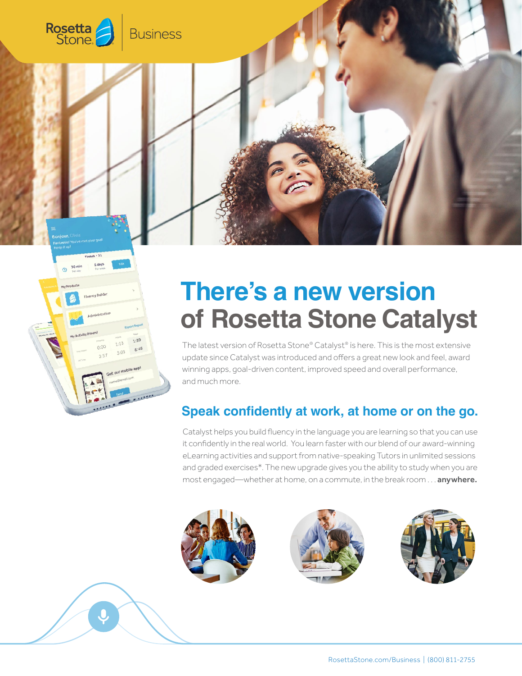

# **There's a new version of Rosetta Stone Catalyst**

The latest version of Rosetta Stone® Catalyst® is here. This is the most extensive update since Catalyst was introduced and offers a great new look and feel, award winning apps, goal-driven content, improved speed and overall performance, and much more.

## **Speak confidently at work, at home or on the go.**

Catalyst helps you build fluency in the language you are learning so that you can use it confidently in the real world. You learn faster with our blend of our award-winning eLearning activities and support from native-speaking Tutors in unlimited sessions and graded exercises\*. The new upgrade gives you the ability to study when you are most engaged—whether at home, on a commute, in the break room . . . anywhere.